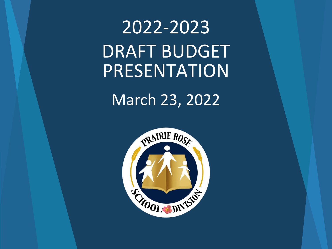# 2022-2023 DRAFT BUDGET PRESENTATION

## March 23, 2022

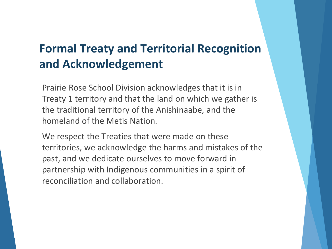### **Formal Treaty and Territorial Recognition and Acknowledgement**

Prairie Rose School Division acknowledges that it is in Treaty 1 territory and that the land on which we gather is the traditional territory of the Anishinaabe, and the homeland of the Metis Nation.

We respect the Treaties that were made on these territories, we acknowledge the harms and mistakes of the past, and we dedicate ourselves to move forward in partnership with Indigenous communities in a spirit of reconciliation and collaboration.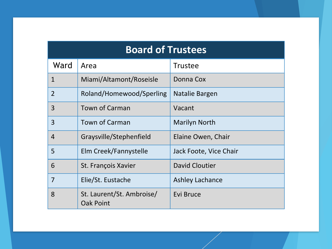| <b>Board of Trustees</b> |                                               |                        |  |  |
|--------------------------|-----------------------------------------------|------------------------|--|--|
| Ward                     | Area                                          | <b>Trustee</b>         |  |  |
| $\mathbf{1}$             | Miami/Altamont/Roseisle                       | Donna Cox              |  |  |
| $\overline{2}$           | Roland/Homewood/Sperling                      | Natalie Bargen         |  |  |
| 3                        | <b>Town of Carman</b>                         | Vacant                 |  |  |
| 3                        | <b>Town of Carman</b>                         | <b>Marilyn North</b>   |  |  |
| $\overline{4}$           | Graysville/Stephenfield                       | Elaine Owen, Chair     |  |  |
| 5                        | Elm Creek/Fannystelle                         | Jack Foote, Vice Chair |  |  |
| 6                        | St. François Xavier                           | <b>David Cloutier</b>  |  |  |
| 7                        | Elie/St. Eustache                             | <b>Ashley Lachance</b> |  |  |
| 8                        | St. Laurent/St. Ambroise/<br><b>Oak Point</b> | Evi Bruce              |  |  |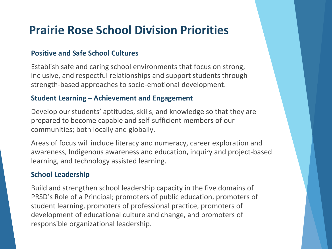### **Prairie Rose School Division Priorities**

#### **Positive and Safe School Cultures**

Establish safe and caring school environments that focus on strong, inclusive, and respectful relationships and support students through strength-based approaches to socio-emotional development.

#### **Student Learning – Achievement and Engagement**

Develop our students' aptitudes, skills, and knowledge so that they are prepared to become capable and self-sufficient members of our communities; both locally and globally.

Areas of focus will include literacy and numeracy, career exploration and awareness, Indigenous awareness and education, inquiry and project-based learning, and technology assisted learning.

#### **School Leadership**

Build and strengthen school leadership capacity in the five domains of PRSD's Role of a Principal; promoters of public education, promoters of student learning, promoters of professional practice, promoters of development of educational culture and change, and promoters of responsible organizational leadership.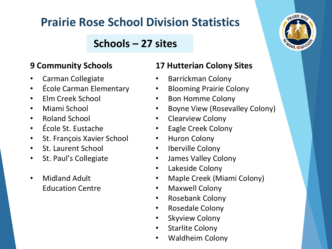## **Prairie Rose School Division Statistics**

### **Schools – 27 sites**

### **9 Community Schools**

- Carman Collegiate
- École Carman Elementary
- Elm Creek School
- Miami School
- Roland School
- École St. Eustache
- St. François Xavier School
- St. Laurent School
- St. Paul's Collegiate
- Midland Adult Education Centre

### **17 Hutterian Colony Sites**

- Barrickman Colony
- Blooming Prairie Colony
- Bon Homme Colony
- Boyne View (Rosevalley Colony)
- Clearview Colony
- Eagle Creek Colony
- Huron Colony
- Iberville Colony
- James Valley Colony
- Lakeside Colony
- Maple Creek (Miami Colony)
- Maxwell Colony
- Rosebank Colony
- Rosedale Colony
- **Skyview Colony**
- Starlite Colony
- Waldheim Colony

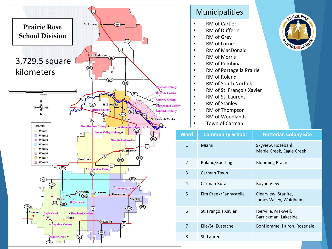

#### Municipalities

- RM of Cartier
- RM of Dufferin
- RM of Grey
- RM of Lorne
- RM of MacDonald
- RM of Morris
- RM of Pembina
- RM of Portage la Prairie
- RM of Roland
- RM of South Norfolk
- RM of St. François Xavier
- RM of St. Laurent
- RM of Stanley
- RM of Thompson
- RM of Woodlands
- Town of Carman

| Ward         | <b>Community School</b> | <b>Hutterian Colony Site</b>                   |
|--------------|-------------------------|------------------------------------------------|
| $\mathbf{1}$ | Miami                   | Skyview, Rosebank,<br>Maple Creek, Eagle Creek |
| 2            | Roland/Sperling         | <b>Blooming Prairie</b>                        |
| 3            | Carman Town             |                                                |
| 4            | Carman Rural            | Boyne View                                     |
| 5            | Elm Creek/Fannystelle   | Clearview, Starlite,<br>James Valley, Waldheim |
| 6            | St. François Xavier     | Iberville, Maxwell,<br>Barrickman, Lakeside    |
| 7            | Elie/St. Eustache       | BonHomme, Huron, Rosedale                      |
| 8            | St. Laurent             |                                                |

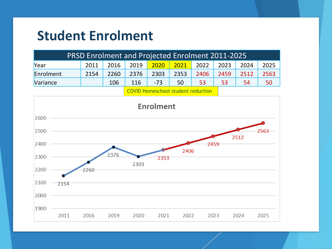## **Student Enrolment**

| <b>PRSD Enrolment and Projected Enrolment 2011-2025</b> |      |      |      |       |                             |      |      |      |      |
|---------------------------------------------------------|------|------|------|-------|-----------------------------|------|------|------|------|
| Year                                                    | 2011 | 2016 | 2019 |       | <mark>2020 2021</mark> 2022 |      | 2023 | 2024 | 2025 |
| Enrolment                                               | 2154 | 2260 | 2376 | 2303  | 2353                        | 2406 | 2459 | 2512 | 2563 |
| Variance                                                |      | 106  | 116  | $-73$ | 50                          | 53   | 53   | 54   | 50   |
|                                                         |      |      |      |       |                             |      |      |      |      |

COVID Homeschool student reduction

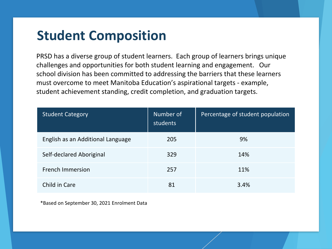## **Student Composition**

PRSD has a diverse group of student learners. Each group of learners brings unique challenges and opportunities for both student learning and engagement. Our school division has been committed to addressing the barriers that these learners must overcome to meet Manitoba Education's aspirational targets - example, student achievement standing, credit completion, and graduation targets.

| <b>Student Category</b>           | Number of<br>students | Percentage of student population |
|-----------------------------------|-----------------------|----------------------------------|
| English as an Additional Language | 205                   | 9%                               |
| Self-declared Aboriginal          | 329                   | 14%                              |
| <b>French Immersion</b>           | 257                   | 11%                              |
| Child in Care                     | 81                    | 3.4%                             |

\*Based on September 30, 2021 Enrolment Data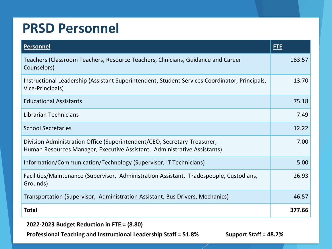## **PRSD Personnel**

| <b>Personnel</b>                                                                                                                                     | <b>FTE</b> |
|------------------------------------------------------------------------------------------------------------------------------------------------------|------------|
| Teachers (Classroom Teachers, Resource Teachers, Clinicians, Guidance and Career<br>Counselors)                                                      | 183.57     |
| Instructional Leadership (Assistant Superintendent, Student Services Coordinator, Principals,<br>Vice-Principals)                                    | 13.70      |
| <b>Educational Assistants</b>                                                                                                                        | 75.18      |
| Librarian Technicians                                                                                                                                | 7.49       |
| <b>School Secretaries</b>                                                                                                                            | 12.22      |
| Division Administration Office (Superintendent/CEO, Secretary-Treasurer,<br>Human Resources Manager, Executive Assistant, Administrative Assistants) | 7.00       |
| Information/Communication/Technology (Supervisor, IT Technicians)                                                                                    | 5.00       |
| Facilities/Maintenance (Supervisor, Administration Assistant, Tradespeople, Custodians,<br>Grounds)                                                  | 26.93      |
| Transportation (Supervisor, Administration Assistant, Bus Drivers, Mechanics)                                                                        | 46.57      |
| <b>Total</b>                                                                                                                                         | 377.66     |

**2022-2023 Budget Reduction in FTE = (8.80)**

**Professional Teaching and Instructional Leadership Staff = 51.8% Support Staff = 48.2%**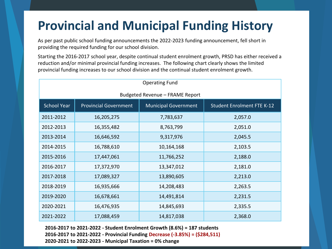## **Provincial and Municipal Funding History**

As per past public school funding announcements the 2022-2023 funding announcement, fell short in providing the required funding for our school division.

Starting the 2016-2017 school year, despite continual student enrolment growth, PRSD has either received a reduction and/or minimal provincial funding increases. The following chart clearly shows the limited provincial funding increases to our school division and the continual student enrolment growth.

| <b>Operating Fund</b>           |                              |                             |                                   |  |  |  |
|---------------------------------|------------------------------|-----------------------------|-----------------------------------|--|--|--|
| Budgeted Revenue - FRAME Report |                              |                             |                                   |  |  |  |
| <b>School Year</b>              | <b>Provincial Government</b> | <b>Municipal Government</b> | <b>Student Enrolment FTE K-12</b> |  |  |  |
| 2011-2012                       | 16,205,275                   | 7,783,637                   | 2,057.0                           |  |  |  |
| 2012-2013                       | 16,355,482                   | 8,763,799                   | 2,051.0                           |  |  |  |
| 2013-2014                       | 16,646,592                   | 9,317,976                   | 2,045.5                           |  |  |  |
| 2014-2015                       | 16,788,610                   | 10,164,168                  | 2,103.5                           |  |  |  |
| 2015-2016                       | 17,447,061                   | 11,766,252                  | 2,188.0                           |  |  |  |
| 2016-2017                       | 17,372,970                   | 13,347,012                  | 2,181.0                           |  |  |  |
| 2017-2018                       | 17,089,327                   | 13,890,605                  | 2,213.0                           |  |  |  |
| 2018-2019                       | 16,935,666                   | 14,208,483                  | 2,263.5                           |  |  |  |
| 2019-2020                       | 16,678,661                   | 14,491,814                  | 2,231.5                           |  |  |  |
| 2020-2021                       | 16,476,935                   | 14,845,693                  | 2,335.5                           |  |  |  |
| 2021-2022                       | 17,088,459                   | 14,817,038                  | 2,368.0                           |  |  |  |

**2016-2017 to 2021-2022 - Student Enrolment Growth (8.6%) = 187 students 2016-2017 to 2021-2022 - Provincial Funding Decrease (-3.85%) = (\$284,511) 2020-2021 to 2022-2023 - Municipal Taxation = 0% change**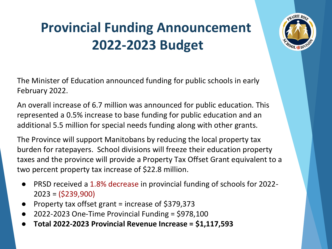# **Provincial Funding Announcement 2022-2023 Budget**

The Minister of Education announced funding for public schools in early February 2022.

An overall increase of 6.7 million was announced for public education. This represented a 0.5% increase to base funding for public education and an additional 5.5 million for special needs funding along with other grants.

The Province will support Manitobans by reducing the local property tax burden for ratepayers. School divisions will freeze their education property taxes and the province will provide a Property Tax Offset Grant equivalent to a two percent property tax increase of \$22.8 million.

- **PRSD received a 1.8% decrease in provincial funding of schools for 2022-**2023 = (\$239,900)
- Property tax offset grant = increase of \$379,373
- $2022-2023$  One-Time Provincial Funding = \$978,100
- **Total 2022-2023 Provincial Revenue Increase = \$1,117,593**

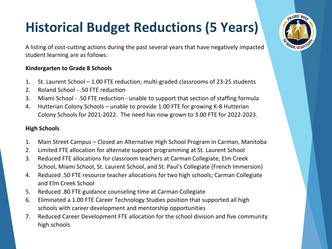# **Historical Budget Reductions (5 Years)**

A listing of cost-cutting actions during the past several years that have negatively impacted student learning are as follows:

#### **Kindergarten to Grade 8 Schools**

- 1. St. Laurent School 1.00 FTE reduction; multi-graded classrooms of 23-25 students
- 2. Roland School .50 FTE reduction
- 3. Miami School .50 FTE reduction unable to support that section of staffing formula
- 4. Hutterian Colony Schools unable to provide 1.00 FTE for growing K-8 Hutterian Colony Schools for 2021-2022. The need has now grown to 3.00 FTE for 2022-2023.

#### **High Schools**

- 1. Main Street Campus Closed an Alternative High School Program in Carman, Manitoba
- 2. Limited FTE allocation for alternate support programming at St. Laurent School
- 3. Reduced FTE allocations for classroom teachers at Carman Collegiate, Elm Creek School, Miami School, St. Laurent School, and St. Paul's Collegiate (French Immersion)
- 4. Reduced .50 FTE resource teacher allocations for two high schools; Carman Collegiate and Elm Creek School
- 5. Reduced .80 FTE guidance counseling time at Carman Collegiate
- 6. Eliminated a 1.00 FTE Career Technology Studies position that supported all high schools with career development and mentorship opportunities
- 7. Reduced Career Development FTE allocation for the school division and five community high schools

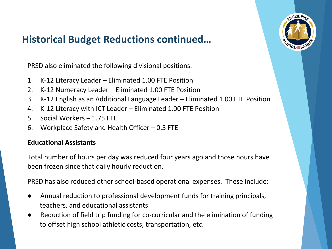

### **Historical Budget Reductions continued…**

PRSD also eliminated the following divisional positions.

- 1. K-12 Literacy Leader Eliminated 1.00 FTE Position
- 2. K-12 Numeracy Leader Eliminated 1.00 FTE Position
- 3. K-12 English as an Additional Language Leader Eliminated 1.00 FTE Position
- 4. K-12 Literacy with ICT Leader Eliminated 1.00 FTE Position
- 5. Social Workers 1.75 FTE
- 6. Workplace Safety and Health Officer 0.5 FTE

#### **Educational Assistants**

Total number of hours per day was reduced four years ago and those hours have been frozen since that daily hourly reduction.

PRSD has also reduced other school-based operational expenses. These include:

- Annual reduction to professional development funds for training principals, teachers, and educational assistants
- Reduction of field trip funding for co-curricular and the elimination of funding to offset high school athletic costs, transportation, etc.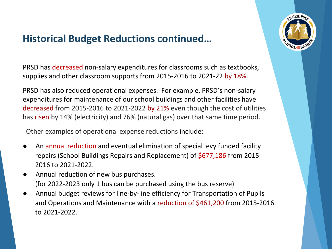### **Historical Budget Reductions continued…**



PRSD has decreased non-salary expenditures for classrooms such as textbooks, supplies and other classroom supports from 2015-2016 to 2021-22 by 18%.

PRSD has also reduced operational expenses. For example, PRSD's non-salary expenditures for maintenance of our school buildings and other facilities have decreased from 2015-2016 to 2021-2022 by 21% even though the cost of utilities has risen by 14% (electricity) and 76% (natural gas) over that same time period.

Other examples of operational expense reductions include:

- An annual reduction and eventual elimination of special levy funded facility repairs (School Buildings Repairs and Replacement) of \$677,186 from 2015- 2016 to 2021-2022.
- Annual reduction of new bus purchases. (for 2022-2023 only 1 bus can be purchased using the bus reserve)
- Annual budget reviews for line-by-line efficiency for Transportation of Pupils and Operations and Maintenance with a reduction of \$461,200 from 2015-2016 to 2021-2022.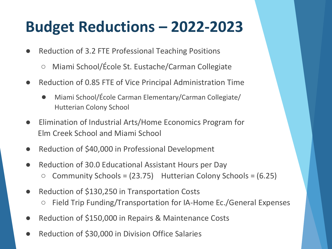# **Budget Reductions – 2022-2023**

- Reduction of 3.2 FTE Professional Teaching Positions
	- Miami School/École St. Eustache/Carman Collegiate
- Reduction of 0.85 FTE of Vice Principal Administration Time
	- Miami School/École Carman Elementary/Carman Collegiate/ Hutterian Colony School
- Elimination of Industrial Arts/Home Economics Program for Elm Creek School and Miami School
- Reduction of \$40,000 in Professional Development
- Reduction of 30.0 Educational Assistant Hours per Day
	- $\circ$  Community Schools = (23.75) Hutterian Colony Schools = (6.25)
- Reduction of \$130,250 in Transportation Costs ○ Field Trip Funding/Transportation for IA-Home Ec./General Expenses
- Reduction of \$150,000 in Repairs & Maintenance Costs
- Reduction of \$30,000 in Division Office Salaries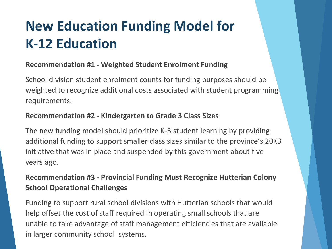# **New Education Funding Model for K-12 Education**

### **Recommendation #1 - Weighted Student Enrolment Funding**

School division student enrolment counts for funding purposes should be weighted to recognize additional costs associated with student programming requirements.

### **Recommendation #2 - Kindergarten to Grade 3 Class Sizes**

The new funding model should prioritize K-3 student learning by providing additional funding to support smaller class sizes similar to the province's 20K3 initiative that was in place and suspended by this government about five years ago.

### **Recommendation #3 - Provincial Funding Must Recognize Hutterian Colony School Operational Challenges**

Funding to support rural school divisions with Hutterian schools that would help offset the cost of staff required in operating small schools that are unable to take advantage of staff management efficiencies that are available in larger community school systems.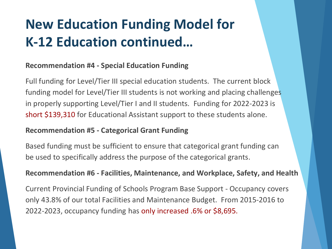# **New Education Funding Model for K-12 Education continued…**

### **Recommendation #4 - Special Education Funding**

Full funding for Level/Tier III special education students. The current block funding model for Level/Tier III students is not working and placing challenges in properly supporting Level/Tier I and II students. Funding for 2022-2023 is short \$139,310 for Educational Assistant support to these students alone.

#### **Recommendation #5 - Categorical Grant Funding**

Based funding must be sufficient to ensure that categorical grant funding can be used to specifically address the purpose of the categorical grants.

#### **Recommendation #6 - Facilities, Maintenance, and Workplace, Safety, and Health**

Current Provincial Funding of Schools Program Base Support - Occupancy covers only 43.8% of our total Facilities and Maintenance Budget. From 2015-2016 to 2022-2023, occupancy funding has only increased .6% or \$8,695.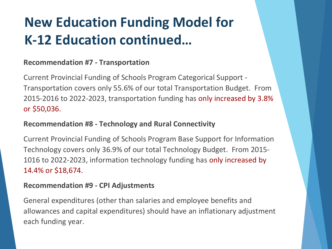# **New Education Funding Model for K-12 Education continued…**

### **Recommendation #7 - Transportation**

Current Provincial Funding of Schools Program Categorical Support - Transportation covers only 55.6% of our total Transportation Budget. From 2015-2016 to 2022-2023, transportation funding has only increased by 3.8% or \$50,036.

### **Recommendation #8 - Technology and Rural Connectivity**

Current Provincial Funding of Schools Program Base Support for Information Technology covers only 36.9% of our total Technology Budget. From 2015- 1016 to 2022-2023, information technology funding has only increased by 14.4% or \$18,674.

#### **Recommendation #9 - CPI Adjustments**

General expenditures (other than salaries and employee benefits and allowances and capital expenditures) should have an inflationary adjustment each funding year.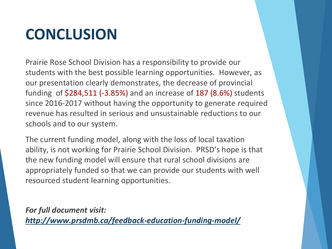# **CONCLUSION**

Prairie Rose School Division has a responsibility to provide our students with the best possible learning opportunities. However, as our presentation clearly demonstrates, the decrease of provincial funding of \$284,511 (-3.85%) and an increase of 187 (8.6%) students since 2016-2017 without having the opportunity to generate required revenue has resulted in serious and unsustainable reductions to our schools and to our system.

The current funding model, along with the loss of local taxation ability, is not working for Prairie School Division. PRSD's hope is that the new funding model will ensure that rural school divisions are appropriately funded so that we can provide our students with well resourced student learning opportunities.

*For full document visit: <http://www.prsdmb.ca/feedback-education-funding-model/>*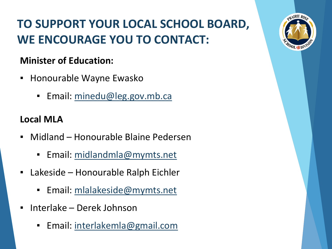## **TO SUPPORT YOUR LOCAL SCHOOL BOARD, WE ENCOURAGE YOU TO CONTACT:**

### **Minister of Education:**

- Honourable Wayne Ewasko
	- Email: [minedu@leg.gov.mb.ca](mailto:minedu@leg.gov.mb.ca)

### **Local MLA**

- Midland Honourable Blaine Pedersen
	- Email: [midlandmla@mymts.net](mailto:midlandmla@mymts.net)
- Lakeside Honourable Ralph Eichler
	- Email: [mlalakeside@mymts.net](mailto:mlalakeside@mymts.net)
- Interlake Derek Johnson
	- Email: [interlakemla@gmail.com](mailto:interlakemla@gmail.com)

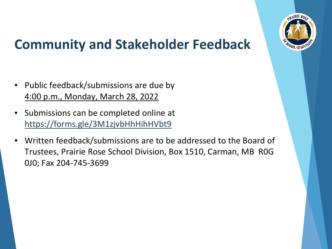

## **Community and Stakeholder Feedback**

- Public feedback/submissions are due by 4:00 p.m., Monday, March 28, 2022
- Submissions can be completed online at <https://forms.gle/3M1zjvbHhHihHVbt9>
- Written feedback/submissions are to be addressed to the Board of Trustees, Prairie Rose School Division, Box 1510, Carman, MB R0G 0J0; Fax 204-745-3699